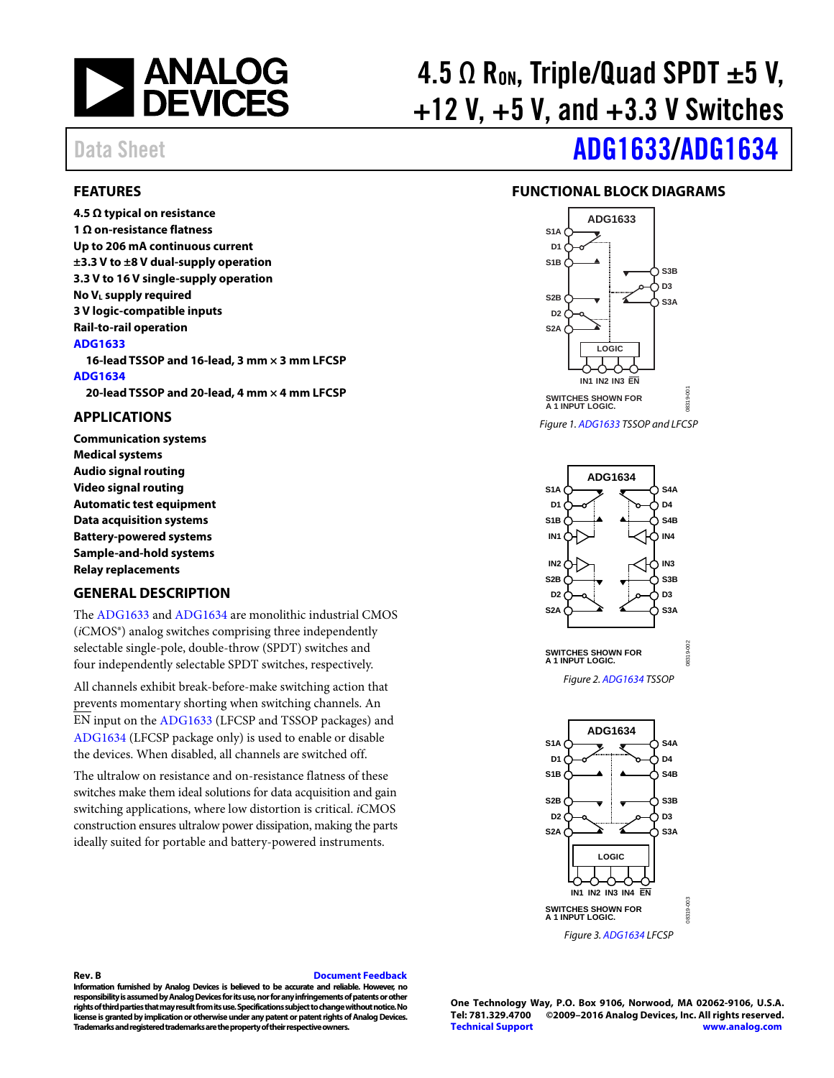

**4.5 Ω typical on resistance 1 Ω on-resistance flatness Up to 206 mA continuous current ±3.3 V to ±8 V dual-supply operation 3.3 V to 16 V single-supply operation**

**No VL supply required 3 V logic-compatible inputs Rail-to-rail operation**

<span id="page-0-0"></span>**FEATURES**

# 4.5  $\Omega$  R<sub>on</sub>, Triple/Quad SPDT  $\pm 5$  V,  $+12$  V,  $+5$  V, and  $+3.3$  V Switches

# Data Sheet **[ADG1633/](http://www.analog.com/ADG1633?doc=ADG1633_1634.pdf)[ADG1634](http://www.analog.com/ADG1634?doc=ADG1633_1634.pdf)**

#### <span id="page-0-3"></span>**FUNCTIONAL BLOCK DIAGRAMS**



*Figure 1[. ADG1633](http://www.analog.com/ADG1633?doc=ADG1633_1634.pdf) TSSOP and LFCSP*



*Figure 3[. ADG1634](http://www.analog.com/ADG1634?doc=ADG1633_1634.pdf) LFCSP*

### <span id="page-0-1"></span>**APPLICATIONS**

**[ADG1633](http://www.analog.com/ADG1633?doc=ADG1633_1634.pdf)**

**[ADG1634](http://www.analog.com/ADG1634?doc=ADG1633_1634.pdf)**

**Communication systems Medical systems Audio signal routing Video signal routing Automatic test equipment Data acquisition systems Battery-powered systems Sample-and-hold systems Relay replacements**

#### <span id="page-0-2"></span>**GENERAL DESCRIPTION**

The [ADG1633](http://www.analog.com/ADG1633?doc=ADG1633_1634.pdf) an[d ADG1634](http://www.analog.com/ADG1634?doc=ADG1633_1634.pdf) are monolithic industrial CMOS (*i*CMOS®) analog switches comprising three independently selectable single-pole, double-throw (SPDT) switches and four independently selectable SPDT switches, respectively.

**16-lead TSSOP and 16-lead, 3 mm × 3 mm LFCSP**

**20-lead TSSOP and 20-lead, 4 mm × 4 mm LFCSP**

All channels exhibit break-before-make switching action that prevents momentary shorting when switching channels. An EN input on th[e ADG1633](http://www.analog.com/ADG1633?doc=ADG1633_1634.pdf) (LFCSP and TSSOP packages) and [ADG1634](http://www.analog.com/ADG1634?doc=ADG1633_1634.pdf) (LFCSP package only) is used to enable or disable the devices. When disabled, all channels are switched off.

The ultralow on resistance and on-resistance flatness of these switches make them ideal solutions for data acquisition and gain switching applications, where low distortion is critical. *i*CMOS construction ensures ultralow power dissipation, making the parts ideally suited for portable and battery-powered instruments.

#### **Rev. B [Document Feedback](https://form.analog.com/Form_Pages/feedback/documentfeedback.aspx?doc=%20ADG1633_1634.pdf&product=ADG1633%20ADG1634&rev=B)**

**Information furnished by Analog Devices is believed to be accurate and reliable. However, no responsibility is assumed by Analog Devices for its use, nor for any infringements of patents or other rights of third parties that may result from its use. Specifications subject to change without notice. No license is granted by implication or otherwise under any patent or patent rights of Analog Devices. Trademarks and registered trademarks are the property of their respective owners.**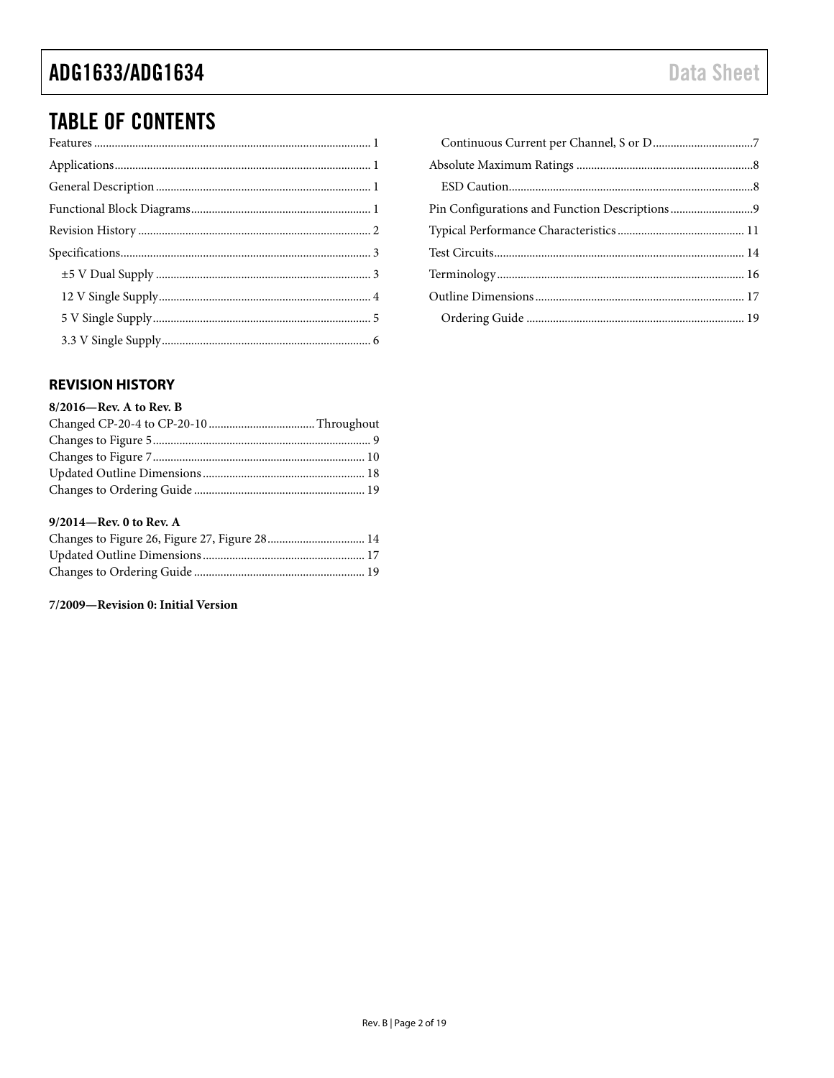# **TABLE OF CONTENTS**

### <span id="page-1-0"></span>**REVISION HISTORY**

#### 8/2016-Rev. A to Rev. B

#### 9/2014-Rev. 0 to Rev. A

| Changes to Figure 26, Figure 27, Figure 28 14 |  |
|-----------------------------------------------|--|
|                                               |  |
|                                               |  |

#### 7/2009-Revision 0: Initial Version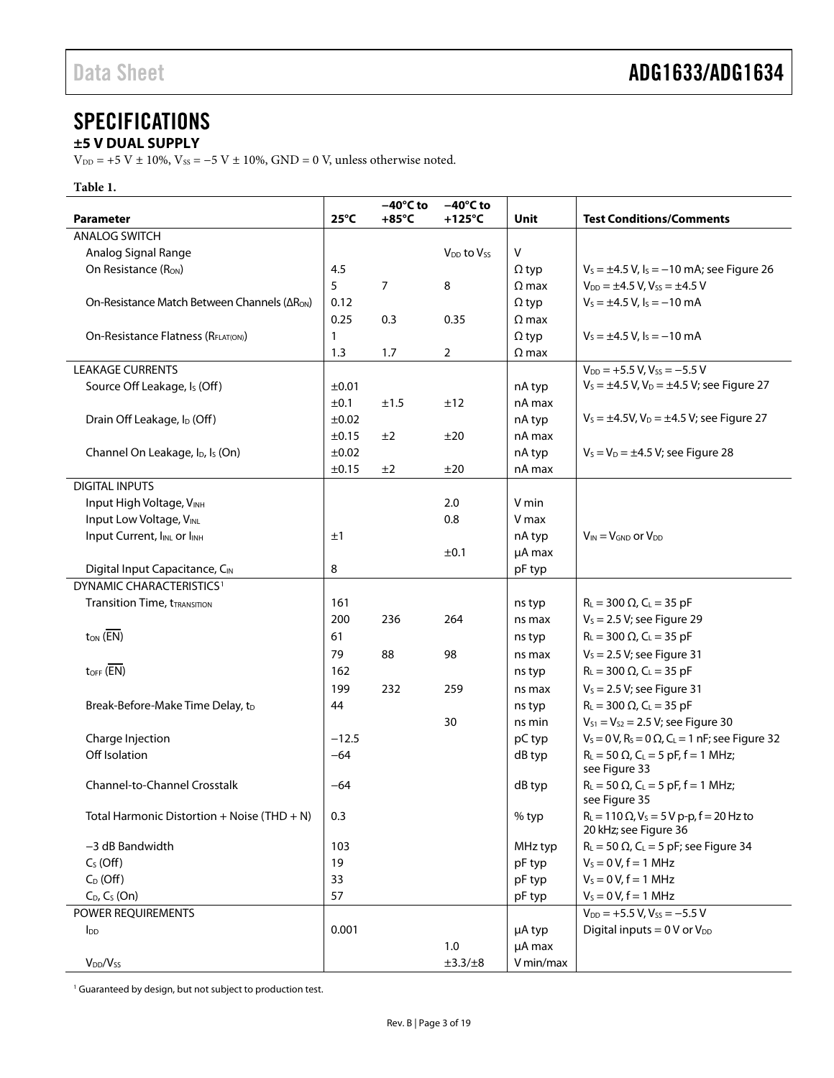### <span id="page-2-0"></span>**SPECIFICATIONS**

### <span id="page-2-1"></span>**±5 V DUAL SUPPLY**

 $V_{\text{DD}}$  = +5 V  $\pm$  10%,  $V_{\text{SS}}$  = -5 V  $\pm$  10%, GND = 0 V, unless otherwise noted.

#### **Table 1.**

|                                                          |                | $-40^{\circ}$ C to | $-40^{\circ}$ C to                 |              |                                                                                  |
|----------------------------------------------------------|----------------|--------------------|------------------------------------|--------------|----------------------------------------------------------------------------------|
| <b>Parameter</b>                                         | $25^{\circ}$ C | $+85^{\circ}$ C    | $+125^{\circ}$ C                   | Unit         | <b>Test Conditions/Comments</b>                                                  |
| <b>ANALOG SWITCH</b>                                     |                |                    |                                    |              |                                                                                  |
| Analog Signal Range                                      |                |                    | V <sub>DD</sub> to V <sub>ss</sub> | $\mathsf{V}$ |                                                                                  |
| On Resistance (Ron)                                      | 4.5            |                    |                                    | $\Omega$ typ | $V_s = \pm 4.5$ V, $I_s = -10$ mA; see Figure 26                                 |
|                                                          | 5              | $\overline{7}$     | 8                                  | $\Omega$ max | $V_{DD} = \pm 4.5$ V, $V_{SS} = \pm 4.5$ V                                       |
| On-Resistance Match Between Channels (ARON)              | 0.12           |                    |                                    | $\Omega$ typ | $V_s = \pm 4.5$ V, $I_s = -10$ mA                                                |
|                                                          | 0.25           | 0.3                | 0.35                               | $\Omega$ max |                                                                                  |
| On-Resistance Flatness (RFLAT(ON))                       | 1              |                    |                                    | $\Omega$ typ | $V_s = \pm 4.5$ V, $I_s = -10$ mA                                                |
|                                                          | 1.3            | 1.7                | $\overline{2}$                     | $\Omega$ max |                                                                                  |
| <b>LEAKAGE CURRENTS</b>                                  |                |                    |                                    |              | $V_{DD}$ = +5.5 V, V <sub>ss</sub> = -5.5 V                                      |
| Source Off Leakage, Is (Off)                             | ±0.01          |                    |                                    | nA typ       | $V_s = \pm 4.5$ V, V <sub>D</sub> = $\pm 4.5$ V; see Figure 27                   |
|                                                          | $\pm 0.1$      | ±1.5               | ±12                                | nA max       |                                                                                  |
| Drain Off Leakage, I <sub>D</sub> (Off)                  | ±0.02          |                    |                                    | nA typ       | $V_s = \pm 4.5 V$ , $V_D = \pm 4.5 V$ ; see Figure 27                            |
|                                                          | ±0.15          | ±2                 | ±20                                | nA max       |                                                                                  |
| Channel On Leakage, I <sub>D</sub> , I <sub>s</sub> (On) | ±0.02          |                    |                                    | nA typ       | $V_s = V_D = \pm 4.5$ V; see Figure 28                                           |
|                                                          | ±0.15          | ±2                 | ±20                                | nA max       |                                                                                  |
| <b>DIGITAL INPUTS</b>                                    |                |                    |                                    |              |                                                                                  |
| Input High Voltage, VINH                                 |                |                    | 2.0                                | V min        |                                                                                  |
| Input Low Voltage, VINL                                  |                |                    | 0.8                                | V max        |                                                                                  |
| Input Current, I <sub>NL</sub> or I <sub>NH</sub>        | ±1             |                    |                                    | nA typ       | $V_{IN} = V_{GND}$ or $V_{DD}$                                                   |
|                                                          |                |                    | ±0.1                               | µA max       |                                                                                  |
| Digital Input Capacitance, CIN                           | 8              |                    |                                    | pF typ       |                                                                                  |
| DYNAMIC CHARACTERISTICS <sup>1</sup>                     |                |                    |                                    |              |                                                                                  |
| <b>Transition Time, tTRANSITION</b>                      | 161            |                    |                                    | ns typ       | $R_L = 300 \Omega$ , $C_L = 35 pF$                                               |
|                                                          | 200            | 236                | 264                                | ns max       | $V_s = 2.5 V$ ; see Figure 29                                                    |
| $t_{ON}$ ( $\overline{EN}$ )                             | 61             |                    |                                    | ns typ       | $R_L = 300 \Omega$ , $C_L = 35 pF$                                               |
|                                                          | 79             | 88                 | 98                                 | ns max       | $V_s = 2.5 V$ ; see Figure 31                                                    |
| $t_{\text{OFF}}$ (EN)                                    | 162            |                    |                                    | ns typ       | $R_L = 300 \Omega$ , C <sub>L</sub> = 35 pF                                      |
|                                                          | 199            | 232                | 259                                |              | $V_s = 2.5 V$ ; see Figure 31                                                    |
|                                                          |                |                    |                                    | ns max       |                                                                                  |
| Break-Before-Make Time Delay, t <sub>D</sub>             | 44             |                    | 30                                 | ns typ       | $R_L = 300 \Omega$ , $C_L = 35 pF$                                               |
|                                                          |                |                    |                                    | ns min       | $V_{S1} = V_{S2} = 2.5 V$ ; see Figure 30                                        |
| Charge Injection                                         | $-12.5$        |                    |                                    | pC typ       | $V_s = 0 V$ , R <sub>s</sub> = 0 $\Omega$ , C <sub>L</sub> = 1 nF; see Figure 32 |
| Off Isolation                                            | $-64$          |                    |                                    | dB typ       | $R_L = 50 \Omega$ , $C_L = 5 pF$ , f = 1 MHz;<br>see Figure 33                   |
| <b>Channel-to-Channel Crosstalk</b>                      | $-64$          |                    |                                    | dB typ       | $R_L = 50 \Omega$ , C <sub>L</sub> = 5 pF, f = 1 MHz;<br>see Figure 35           |
| Total Harmonic Distortion + Noise (THD + N)              | 0.3            |                    |                                    | % typ        | $R_L = 110 \Omega$ , $V_S = 5 V p-p$ , $f = 20 Hz$ to<br>20 kHz; see Figure 36   |
| -3 dB Bandwidth                                          | 103            |                    |                                    | MHz typ      | $R_L$ = 50 $\Omega$ , C <sub>L</sub> = 5 pF; see Figure 34                       |
| $CS$ (Off)                                               | 19             |                    |                                    | pF typ       | $V_s = 0 V, f = 1 MHz$                                                           |
| $C_D$ (Off)                                              | 33             |                    |                                    | pF typ       | $V_s = 0 V, f = 1 MHz$                                                           |
| $C_D$ , $C_S$ (On)                                       | 57             |                    |                                    | pF typ       | $V_s = 0 V, f = 1 MHz$                                                           |
| POWER REQUIREMENTS                                       |                |                    |                                    |              | $V_{DD}$ = +5.5 V, V <sub>ss</sub> = -5.5 V                                      |
| <b>I</b> <sub>DD</sub>                                   | 0.001          |                    |                                    | µA typ       | Digital inputs = $0 \text{ V or } V_{DD}$                                        |
|                                                          |                |                    | $1.0$                              | µA max       |                                                                                  |
| V <sub>DD</sub> /V <sub>ss</sub>                         |                |                    | $\pm 3.3/\pm 8$                    | V min/max    |                                                                                  |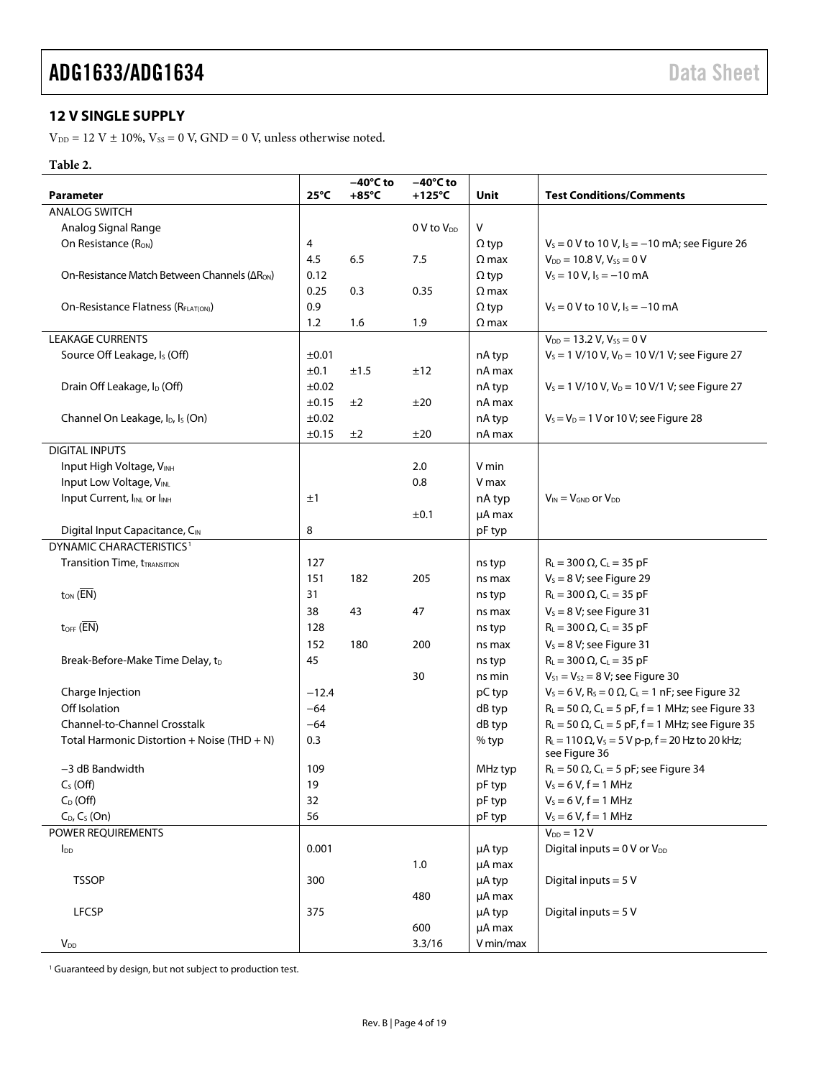### <span id="page-3-0"></span>**12 V SINGLE SUPPLY**

 $\rm V_{\rm DD}$  = 12 V  $\pm$  10%,  $\rm V_{SS}$  = 0 V, GND = 0 V, unless otherwise noted.

#### **Table 2.**

|                                                          |                | $-40^{\circ}$ C to | $-40^{\circ}$ C to |              |                                                                                  |
|----------------------------------------------------------|----------------|--------------------|--------------------|--------------|----------------------------------------------------------------------------------|
| <b>Parameter</b>                                         | $25^{\circ}$ C | $+85^{\circ}$ C    | $+125^{\circ}$ C   | Unit         | <b>Test Conditions/Comments</b>                                                  |
| <b>ANALOG SWITCH</b>                                     |                |                    |                    |              |                                                                                  |
| Analog Signal Range                                      |                |                    | $0 V$ to $V_{DD}$  | V            |                                                                                  |
| On Resistance $(RON)$                                    | 4              |                    |                    | $\Omega$ typ | $V_s = 0$ V to 10 V, $I_s = -10$ mA; see Figure 26                               |
|                                                          | 4.5            | 6.5                | 7.5                | $\Omega$ max | $V_{DD}$ = 10.8 V, $V_{SS}$ = 0 V                                                |
| On-Resistance Match Between Channels (ΔR <sub>ON</sub> ) | 0.12           |                    |                    | $\Omega$ typ | $V_s = 10 V, I_s = -10 mA$                                                       |
|                                                          | 0.25           | 0.3                | 0.35               | $\Omega$ max |                                                                                  |
| On-Resistance Flatness (R <sub>ELAT(ON)</sub> )          | 0.9            |                    |                    | $\Omega$ typ | $V_s = 0$ V to 10 V, $I_s = -10$ mA                                              |
|                                                          | 1.2            | 1.6                | 1.9                | $\Omega$ max |                                                                                  |
| <b>LEAKAGE CURRENTS</b>                                  |                |                    |                    |              | $V_{DD} = 13.2 V, V_{SS} = 0 V$                                                  |
| Source Off Leakage, Is (Off)                             | ±0.01          |                    |                    | nA typ       | $V_s = 1$ V/10 V, $V_D = 10$ V/1 V; see Figure 27                                |
|                                                          | ±0.1           | ±1.5               | ±12                | nA max       |                                                                                  |
| Drain Off Leakage, I <sub>D</sub> (Off)                  | ±0.02          |                    |                    | nA typ       | $V_s = 1$ V/10 V, $V_D = 10$ V/1 V; see Figure 27                                |
|                                                          | $\pm 0.15$     | ±2                 | ±20                | nA max       |                                                                                  |
| Channel On Leakage, I <sub>D</sub> , I <sub>s</sub> (On) | ±0.02          |                    |                    | nA typ       | $V_s = V_D = 1$ V or 10 V; see Figure 28                                         |
|                                                          | $\pm 0.15$     | ±2                 | ±20                | nA max       |                                                                                  |
| <b>DIGITAL INPUTS</b>                                    |                |                    |                    |              |                                                                                  |
| Input High Voltage, VINH                                 |                |                    | 2.0                | V min        |                                                                                  |
| Input Low Voltage, VINL                                  |                |                    | 0.8                | V max        |                                                                                  |
| Input Current, IINL or IINH                              | ±1             |                    |                    | nA typ       | $V_{IN} = V_{GND}$ or $V_{DD}$                                                   |
|                                                          |                |                    | ±0.1               | µA max       |                                                                                  |
| Digital Input Capacitance, CIN                           | 8              |                    |                    | pF typ       |                                                                                  |
| DYNAMIC CHARACTERISTICS <sup>1</sup>                     |                |                    |                    |              |                                                                                  |
| <b>Transition Time, tTRANSITION</b>                      | 127            |                    |                    | ns typ       | $R_1 = 300 \Omega$ , C <sub>1</sub> = 35 pF                                      |
|                                                          | 151            | 182                | 205                | ns max       | $V_s = 8 V$ ; see Figure 29                                                      |
| $t_{ON}$ ( $\overline{EN}$ )                             | 31             |                    |                    | ns typ       | $R_L = 300 \Omega$ , C <sub>L</sub> = 35 pF                                      |
|                                                          |                |                    |                    |              |                                                                                  |
| $t_{\text{OFF}}$ (EN)                                    | 38             | 43                 | 47                 | ns max       | $V_s = 8 V$ ; see Figure 31                                                      |
|                                                          | 128            |                    |                    | ns typ       | $R_L = 300 \Omega$ , $C_L = 35 pF$                                               |
|                                                          | 152            | 180                | 200                | ns max       | $V_s = 8 V$ ; see Figure 31                                                      |
| Break-Before-Make Time Delay, t <sub>D</sub>             | 45             |                    |                    | ns typ       | $R_L = 300 \Omega$ , C <sub>L</sub> = 35 pF                                      |
|                                                          |                |                    | 30                 | ns min       | $V_{S1} = V_{S2} = 8 V$ ; see Figure 30                                          |
| Charge Injection                                         | $-12.4$        |                    |                    | pC typ       | $V_s = 6 V$ , R <sub>s</sub> = 0 $\Omega$ , C <sub>L</sub> = 1 nF; see Figure 32 |
| Off Isolation                                            | $-64$          |                    |                    | dB typ       | $R_L$ = 50 $\Omega$ , C <sub>L</sub> = 5 pF, f = 1 MHz; see Figure 33            |
| Channel-to-Channel Crosstalk                             | $-64$          |                    |                    | dB typ       | $R_L$ = 50 $\Omega$ , C <sub>L</sub> = 5 pF, f = 1 MHz; see Figure 35            |
| Total Harmonic Distortion + Noise (THD + N)              | 0.3            |                    |                    | % typ        | $R_L = 110 \Omega$ , $V_S = 5 V p-p$ , $f = 20 Hz$ to 20 kHz;<br>see Figure 36   |
| -3 dB Bandwidth                                          | 109            |                    |                    | MHz typ      | $R_L$ = 50 $\Omega$ , C <sub>L</sub> = 5 pF; see Figure 34                       |
| $C_S$ (Off)                                              | 19             |                    |                    | pF typ       | $V_s = 6 V, f = 1 MHz$                                                           |
| $C_D$ (Off)                                              | 32             |                    |                    | pF typ       | $V_s = 6 V, f = 1 MHz$                                                           |
| $C_{D}$ , $C_{S}$ (On)                                   | 56             |                    |                    | pF typ       | $V_s = 6 V, f = 1 MHz$                                                           |
| POWER REQUIREMENTS                                       |                |                    |                    |              | $V_{DD} = 12 V$                                                                  |
| <b>l</b> <sub>DD</sub>                                   | 0.001          |                    |                    | µA typ       | Digital inputs = $0 \text{ V or } V_{DD}$                                        |
|                                                          |                |                    | $1.0\,$            | µA max       |                                                                                  |
| <b>TSSOP</b>                                             | 300            |                    |                    | µA typ       | Digital inputs = $5V$                                                            |
|                                                          |                |                    | 480                | µA max       |                                                                                  |
| <b>LFCSP</b>                                             | 375            |                    |                    | µA typ       | Digital inputs = $5V$                                                            |
|                                                          |                |                    | 600                | µA max       |                                                                                  |
| $V_{DD}$                                                 |                |                    | 3.3/16             | V min/max    |                                                                                  |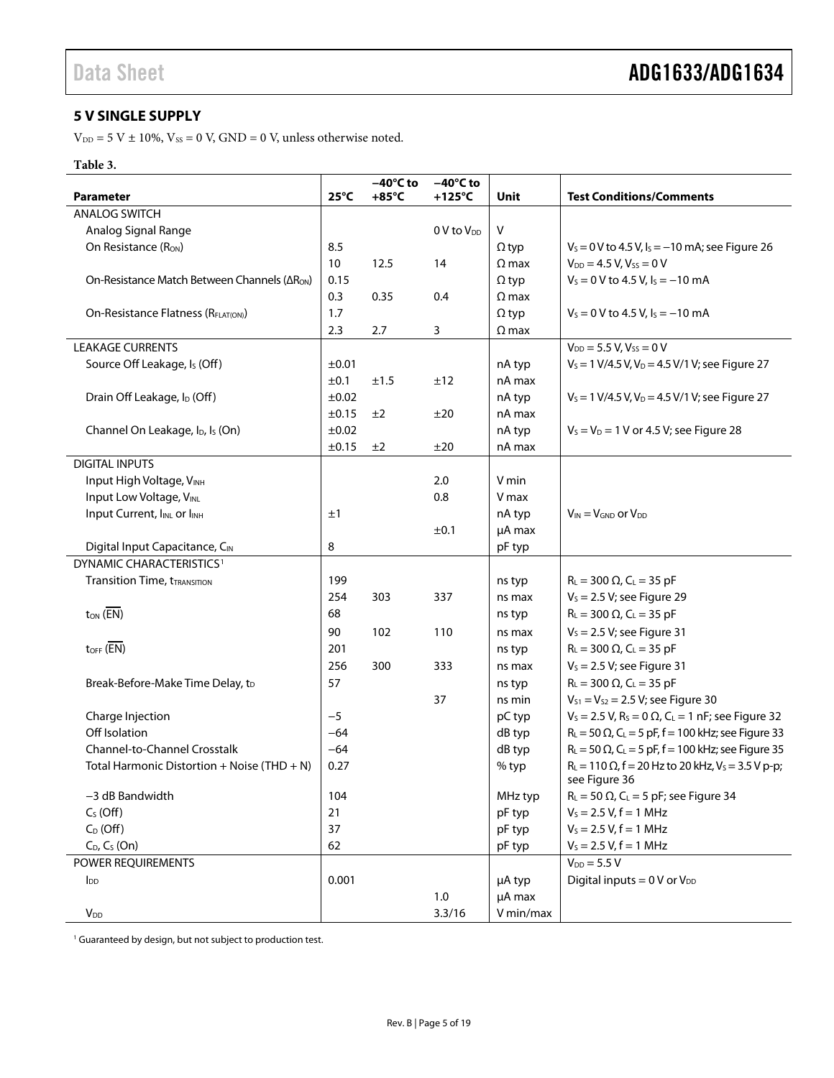### <span id="page-4-0"></span>**5 V SINGLE SUPPLY**

 $V_{DD} = 5$  V  $\pm$  10%,  $V_{SS} = 0$  V, GND = 0 V, unless otherwise noted.

#### **Table 3.**

|                                                          |                | $-40^{\circ}$ C to | $-40^{\circ}$ C to     |              |                                                                                    |
|----------------------------------------------------------|----------------|--------------------|------------------------|--------------|------------------------------------------------------------------------------------|
| <b>Parameter</b>                                         | $25^{\circ}$ C | $+85^{\circ}$ C    | $+125^{\circ}$ C       | Unit         | <b>Test Conditions/Comments</b>                                                    |
| <b>ANALOG SWITCH</b>                                     |                |                    |                        |              |                                                                                    |
| Analog Signal Range                                      |                |                    | 0 V to V <sub>DD</sub> | $\vee$       |                                                                                    |
| On Resistance (R <sub>ON</sub> )                         | 8.5            |                    |                        | $\Omega$ typ | $V_s = 0$ V to 4.5 V, $I_s = -10$ mA; see Figure 26                                |
|                                                          | 10             | 12.5               | 14                     | $\Omega$ max | $V_{DD} = 4.5 V, V_{SS} = 0 V$                                                     |
| On-Resistance Match Between Channels (ΔR <sub>ON</sub> ) | 0.15           |                    |                        | $\Omega$ typ | $V_s = 0$ V to 4.5 V, $I_s = -10$ mA                                               |
|                                                          | 0.3            | 0.35               | 0.4                    | $\Omega$ max |                                                                                    |
| On-Resistance Flatness (RFLAT(ON))                       | 1.7            |                    |                        | $\Omega$ typ | $V_s = 0$ V to 4.5 V, $I_s = -10$ mA                                               |
|                                                          | 2.3            | 2.7                | 3                      | $\Omega$ max |                                                                                    |
| <b>LEAKAGE CURRENTS</b>                                  |                |                    |                        |              | $V_{DD} = 5.5 V, V_{SS} = 0 V$                                                     |
| Source Off Leakage, Is (Off)                             | ±0.01          |                    |                        | nA typ       | $V_s = 1 \text{ V}/4.5 \text{ V}, V_D = 4.5 \text{ V}/1 \text{ V}$ ; see Figure 27 |
|                                                          | ±0.1           | ±1.5               | ±12                    | nA max       |                                                                                    |
| Drain Off Leakage, I <sub>D</sub> (Off)                  | ±0.02          |                    |                        | nA typ       | $V_s = 1 \text{ V}/4.5 \text{ V}, V_D = 4.5 \text{ V}/1 \text{ V}$ ; see Figure 27 |
|                                                          | ±0.15          | ±2                 | ±20                    | nA max       |                                                                                    |
| Channel On Leakage, I <sub>D</sub> , I <sub>s</sub> (On) | ±0.02          |                    |                        | nA typ       | $V_s = V_D = 1$ V or 4.5 V; see Figure 28                                          |
|                                                          | ±0.15          | ±2                 | ±20                    | nA max       |                                                                                    |
| <b>DIGITAL INPUTS</b>                                    |                |                    |                        |              |                                                                                    |
| Input High Voltage, VINH                                 |                |                    | 2.0                    | V min        |                                                                                    |
| Input Low Voltage, VINL                                  |                |                    | 0.8                    | V max        |                                                                                    |
| Input Current, IINL or IINH                              | ±1             |                    |                        | nA typ       | $V_{IN} = V_{GND}$ or $V_{DD}$                                                     |
|                                                          |                |                    | ±0.1                   | µA max       |                                                                                    |
| Digital Input Capacitance, CIN                           | 8              |                    |                        | pF typ       |                                                                                    |
| DYNAMIC CHARACTERISTICS <sup>1</sup>                     |                |                    |                        |              |                                                                                    |
| <b>Transition Time, tTRANSITION</b>                      | 199            |                    |                        | ns typ       | $R_L = 300 \Omega$ , $C_L = 35 pF$                                                 |
|                                                          | 254            | 303                | 337                    | ns max       | $V_s$ = 2.5 V; see Figure 29                                                       |
| $t_{ON}$ ( $\overline{EN}$ )                             | 68             |                    |                        | ns typ       | $R_L = 300 \Omega$ , $C_L = 35 pF$                                                 |
|                                                          | 90             | 102                | 110                    | ns max       | $V_s = 2.5 V$ ; see Figure 31                                                      |
| $t_{\text{OFF}}$ (EN)                                    | 201            |                    |                        | ns typ       | $R_L = 300 \Omega$ , $C_L = 35 pF$                                                 |
|                                                          | 256            | 300                | 333                    | ns max       | $V_s = 2.5 V$ ; see Figure 31                                                      |
| Break-Before-Make Time Delay, tD                         | 57             |                    |                        | ns typ       | $R_L = 300 \Omega$ , $C_L = 35 pF$                                                 |
|                                                          |                |                    | 37                     | ns min       | $V_{S1} = V_{S2} = 2.5 V$ ; see Figure 30                                          |
| Charge Injection                                         | $-5$           |                    |                        | pC typ       | $V_s = 2.5 V$ , $R_s = 0 \Omega$ , $C_l = 1 nF$ ; see Figure 32                    |
| Off Isolation                                            | $-64$          |                    |                        | dB typ       | $R_L = 50 \Omega$ , C <sub>L</sub> = 5 pF, f = 100 kHz; see Figure 33              |
| Channel-to-Channel Crosstalk                             | $-64$          |                    |                        | dB typ       | $R_L = 50 \Omega$ , C <sub>L</sub> = 5 pF, f = 100 kHz; see Figure 35              |
| Total Harmonic Distortion + Noise (THD + N)              | 0.27           |                    |                        | % typ        | $R_L = 110 \Omega$ , f = 20 Hz to 20 kHz, V <sub>s</sub> = 3.5 V p-p;              |
|                                                          |                |                    |                        |              | see Figure 36                                                                      |
| -3 dB Bandwidth                                          | 104            |                    |                        | MHz typ      | $R_L$ = 50 $\Omega$ , C <sub>L</sub> = 5 pF; see Figure 34                         |
| $C_S$ (Off)                                              | 21             |                    |                        | pF typ       | $V_s = 2.5 V, f = 1 MHz$                                                           |
| $C_D$ (Off)                                              | 37             |                    |                        | pF typ       | $V_s = 2.5 V, f = 1 MHz$                                                           |
| $C_D$ , $C_S$ (On)                                       | 62             |                    |                        | pF typ       | $V_s = 2.5 V, f = 1 MHz$                                                           |
| POWER REQUIREMENTS                                       |                |                    |                        |              | $V_{DD} = 5.5 V$                                                                   |
| <b>I</b> <sub>DD</sub>                                   | 0.001          |                    |                        | µA typ       | Digital inputs = $0 \text{ V or } V_{DD}$                                          |
|                                                          |                |                    | $1.0\,$                | µA max       |                                                                                    |
| <b>V</b> <sub>DD</sub>                                   |                |                    | 3.3/16                 | V min/max    |                                                                                    |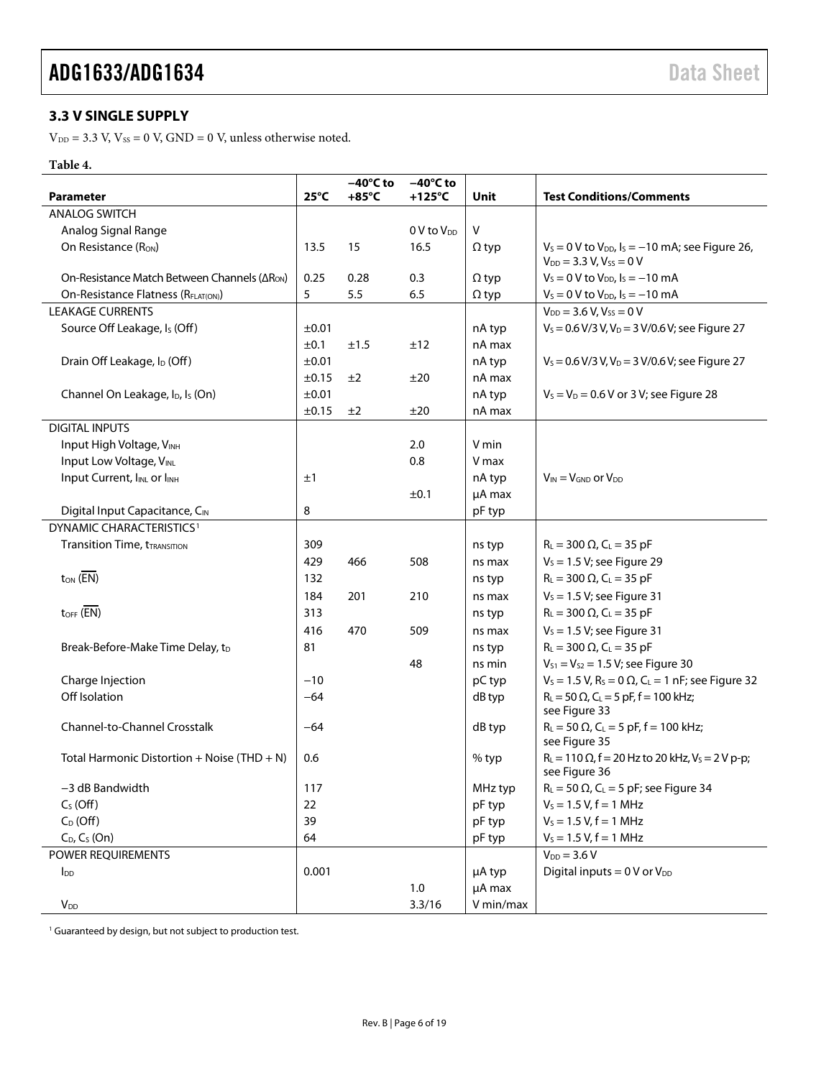### <span id="page-5-0"></span>**3.3 V SINGLE SUPPLY**

 $V_{DD} = 3.3$  V,  $V_{SS} = 0$  V,  $GND = 0$  V, unless otherwise noted.

#### **Table 4.**

|                                                          |                | $-40^{\circ}$ C to | $-40^{\circ}$ C to     |              |                                                                                            |
|----------------------------------------------------------|----------------|--------------------|------------------------|--------------|--------------------------------------------------------------------------------------------|
| <b>Parameter</b>                                         | $25^{\circ}$ C | $+85^{\circ}$ C    | $+125^{\circ}$ C       | Unit         | <b>Test Conditions/Comments</b>                                                            |
| <b>ANALOG SWITCH</b>                                     |                |                    |                        |              |                                                                                            |
| Analog Signal Range                                      |                |                    | 0 V to V <sub>DD</sub> | V            |                                                                                            |
| On Resistance (R <sub>ON</sub> )                         | 13.5           | 15                 | 16.5                   | $\Omega$ typ | $V_s = 0$ V to $V_{DD}$ , $I_s = -10$ mA; see Figure 26,<br>$V_{DD} = 3.3 V, V_{SS} = 0 V$ |
| On-Resistance Match Between Channels (ΔR <sub>ON</sub> ) | 0.25           | 0.28               | 0.3                    | $\Omega$ typ | $V_s = 0$ V to $V_{DD}$ , $I_s = -10$ mA                                                   |
| On-Resistance Flatness (RFLAT(ON))                       | 5              | 5.5                | 6.5                    | $\Omega$ typ | $V_s = 0$ V to $V_{DD}$ , $I_s = -10$ mA                                                   |
| <b>LEAKAGE CURRENTS</b>                                  |                |                    |                        |              | $V_{DD} = 3.6 V, V_{SS} = 0 V$                                                             |
| Source Off Leakage, Is (Off)                             | ±0.01          |                    |                        | nA typ       | $V_s = 0.6 \text{ V} / 3 \text{ V}, V_D = 3 \text{ V} / 0.6 \text{ V}$ ; see Figure 27     |
|                                                          | ±0.1           | ±1.5               | ±12                    | nA max       |                                                                                            |
| Drain Off Leakage, I <sub>D</sub> (Off)                  | ±0.01          |                    |                        | nA typ       | $V_s = 0.6 \text{ V} / 3 \text{ V}$ , $V_D = 3 \text{ V} / 0.6 \text{ V}$ ; see Figure 27  |
|                                                          | ±0.15          | ±2                 | ±20                    | nA max       |                                                                                            |
| Channel On Leakage, I <sub>D</sub> , I <sub>s</sub> (On) | ±0.01          |                    |                        | nA typ       | $V_s = V_D = 0.6 V$ or 3 V; see Figure 28                                                  |
|                                                          | ±0.15          | ±2                 | ±20                    | nA max       |                                                                                            |
| <b>DIGITAL INPUTS</b>                                    |                |                    |                        |              |                                                                                            |
| Input High Voltage, VINH                                 |                |                    | 2.0                    | V min        |                                                                                            |
| Input Low Voltage, VINL                                  |                |                    | 0.8                    | V max        |                                                                                            |
| Input Current, I <sub>INL</sub> or I <sub>INH</sub>      | ±1             |                    |                        | nA typ       | $V_{IN} = V_{GND}$ or $V_{DD}$                                                             |
|                                                          |                |                    | ±0.1                   | µA max       |                                                                                            |
| Digital Input Capacitance, CIN                           | 8              |                    |                        | pF typ       |                                                                                            |
| DYNAMIC CHARACTERISTICS <sup>1</sup>                     |                |                    |                        |              |                                                                                            |
| <b>Transition Time, tTRANSITION</b>                      | 309            |                    |                        | ns typ       | $R_L = 300 \Omega$ , $C_L = 35 pF$                                                         |
|                                                          | 429            | 466                | 508                    | ns max       | $V_s = 1.5 V$ ; see Figure 29                                                              |
| $t_{ON}$ ( $\overline{EN}$ )                             | 132            |                    |                        | ns typ       | $R_L = 300 \Omega$ , $C_L = 35 pF$                                                         |
|                                                          | 184            | 201                | 210                    | ns max       | $V_s = 1.5 V$ ; see Figure 31                                                              |
| $t_{\text{OFF}}$ (EN)                                    | 313            |                    |                        | ns typ       | $R_{L} = 300 \Omega$ , C <sub>L</sub> = 35 pF                                              |
|                                                          | 416            | 470                | 509                    | ns max       | $V_s = 1.5 V$ ; see Figure 31                                                              |
| Break-Before-Make Time Delay, t <sub>D</sub>             | 81             |                    |                        | ns typ       | $R_{L} = 300 \Omega$ , C <sub>L</sub> = 35 pF                                              |
|                                                          |                |                    | 48                     | ns min       | $V_{S1} = V_{S2} = 1.5 V$ ; see Figure 30                                                  |
| Charge Injection                                         | $-10$          |                    |                        | pC typ       | $V_s = 1.5 V$ , $R_s = 0 \Omega$ , $C_l = 1 nF$ ; see Figure 32                            |
| Off Isolation                                            | $-64$          |                    |                        | dB typ       | $R_L = 50 \Omega$ , C <sub>L</sub> = 5 pF, f = 100 kHz;                                    |
|                                                          |                |                    |                        |              | see Figure 33                                                                              |
| Channel-to-Channel Crosstalk                             | $-64$          |                    |                        | dB typ       | $R_L = 50 \Omega$ , C <sub>L</sub> = 5 pF, f = 100 kHz;<br>see Figure 35                   |
| Total Harmonic Distortion + Noise (THD + N)              | 0.6            |                    |                        | % typ        | $R_L = 110 \Omega$ , f = 20 Hz to 20 kHz, V <sub>s</sub> = 2 V p-p;<br>see Figure 36       |
| -3 dB Bandwidth                                          | 117            |                    |                        | MHz typ      | $R_L = 50 \Omega$ , C <sub>L</sub> = 5 pF; see Figure 34                                   |
| $C_S(Off)$                                               | 22             |                    |                        | pF typ       | $V_s = 1.5 V, f = 1 MHz$                                                                   |
| $C_D$ (Off)                                              | 39             |                    |                        | pF typ       | $V_s = 1.5 V, f = 1 MHz$                                                                   |
| $C_D$ , $C_S$ (On)                                       | 64             |                    |                        | pF typ       | $V_s = 1.5 V, f = 1 MHz$                                                                   |
| POWER REQUIREMENTS                                       |                |                    |                        |              | $V_{DD} = 3.6 V$                                                                           |
| $I_{DD}$                                                 | 0.001          |                    |                        | µA typ       | Digital inputs = $0$ V or $V_{DD}$                                                         |
|                                                          |                |                    | 1.0                    | µA max       |                                                                                            |
| $V_{DD}$                                                 |                |                    | 3.3/16                 | V min/max    |                                                                                            |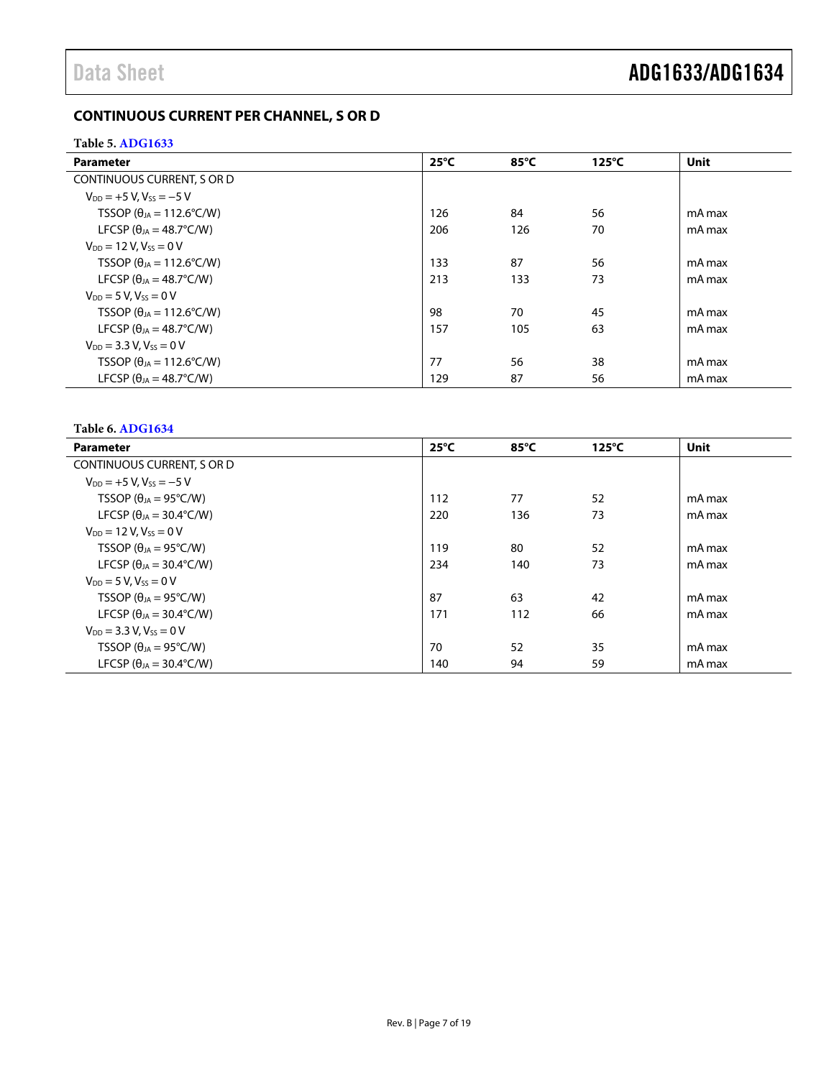### <span id="page-6-0"></span>**CONTINUOUS CURRENT PER CHANNEL, S OR D**

#### <span id="page-6-1"></span>**Table 5[. ADG1633](http://www.analog.com/ADG1633?doc=ADG1633_1634.pdf)**

| <b>Parameter</b>                          | $25^{\circ}$ C | $85^{\circ}$ C | $125^{\circ}$ C | <b>Unit</b> |
|-------------------------------------------|----------------|----------------|-----------------|-------------|
| CONTINUOUS CURRENT, S OR D                |                |                |                 |             |
| $V_{DD} = +5 V$ , $V_{SS} = -5 V$         |                |                |                 |             |
| TSSOP ( $\theta_{IA}$ = 112.6°C/W)        | 126            | 84             | 56              | mA max      |
| LFCSP ( $\theta_{JA} = 48.7^{\circ}$ C/W) | 206            | 126            | 70              | mA max      |
| $V_{DD} = 12 V, V_{SS} = 0 V$             |                |                |                 |             |
| TSSOP ( $\theta_{IA}$ = 112.6°C/W)        | 133            | 87             | 56              | mA max      |
| LFCSP ( $\theta_{1A} = 48.7^{\circ}$ C/W) | 213            | 133            | 73              | mA max      |
| $V_{DD} = 5 V, V_{SS} = 0 V$              |                |                |                 |             |
| TSSOP ( $\theta_{IA}$ = 112.6°C/W)        | 98             | 70             | 45              | mA max      |
| LFCSP ( $\theta_{IA} = 48.7^{\circ}$ C/W) | 157            | 105            | 63              | mA max      |
| $V_{DD} = 3.3 V$ , $V_{SS} = 0 V$         |                |                |                 |             |
| TSSOP ( $\theta_{JA}$ = 112.6°C/W)        | 77             | 56             | 38              | mA max      |
| LFCSP ( $\theta_{IA} = 48.7^{\circ}$ C/W) | 129            | 87             | 56              | mA max      |

#### <span id="page-6-2"></span>**Table 6[. ADG1634](http://www.analog.com/ADG1634?doc=ADG1633_1634.pdf)**

| <b>Parameter</b>                        | $25^{\circ}$ C | $85^{\circ}$ C | $125^{\circ}$ C | <b>Unit</b> |
|-----------------------------------------|----------------|----------------|-----------------|-------------|
| CONTINUOUS CURRENT, S OR D              |                |                |                 |             |
| $V_{DD} = +5 V$ , $V_{SS} = -5 V$       |                |                |                 |             |
| TSSOP ( $\theta_{JA} = 95^{\circ}C/W$ ) | 112            | 77             | 52              | mA max      |
| LFCSP ( $\theta_{JA}$ = 30.4°C/W)       | 220            | 136            | 73              | mA max      |
| $V_{DD} = 12 V$ , $V_{SS} = 0 V$        |                |                |                 |             |
| TSSOP ( $\theta_{JA} = 95^{\circ}C/W$ ) | 119            | 80             | 52              | mA max      |
| LFCSP ( $\theta_{JA}$ = 30.4°C/W)       | 234            | 140            | 73              | mA max      |
| $V_{DD} = 5 V, V_{SS} = 0 V$            |                |                |                 |             |
| TSSOP ( $\theta_{JA} = 95^{\circ}C/W$ ) | 87             | 63             | 42              | mA max      |
| LFCSP ( $\theta_{JA}$ = 30.4°C/W)       | 171            | 112            | 66              | mA max      |
| $V_{DD} = 3.3 V, V_{SS} = 0 V$          |                |                |                 |             |
| TSSOP ( $\theta_{JA} = 95^{\circ}C/W$ ) | 70             | 52             | 35              | mA max      |
| LFCSP ( $\theta_{IA}$ = 30.4°C/W)       | 140            | 94             | 59              | mA max      |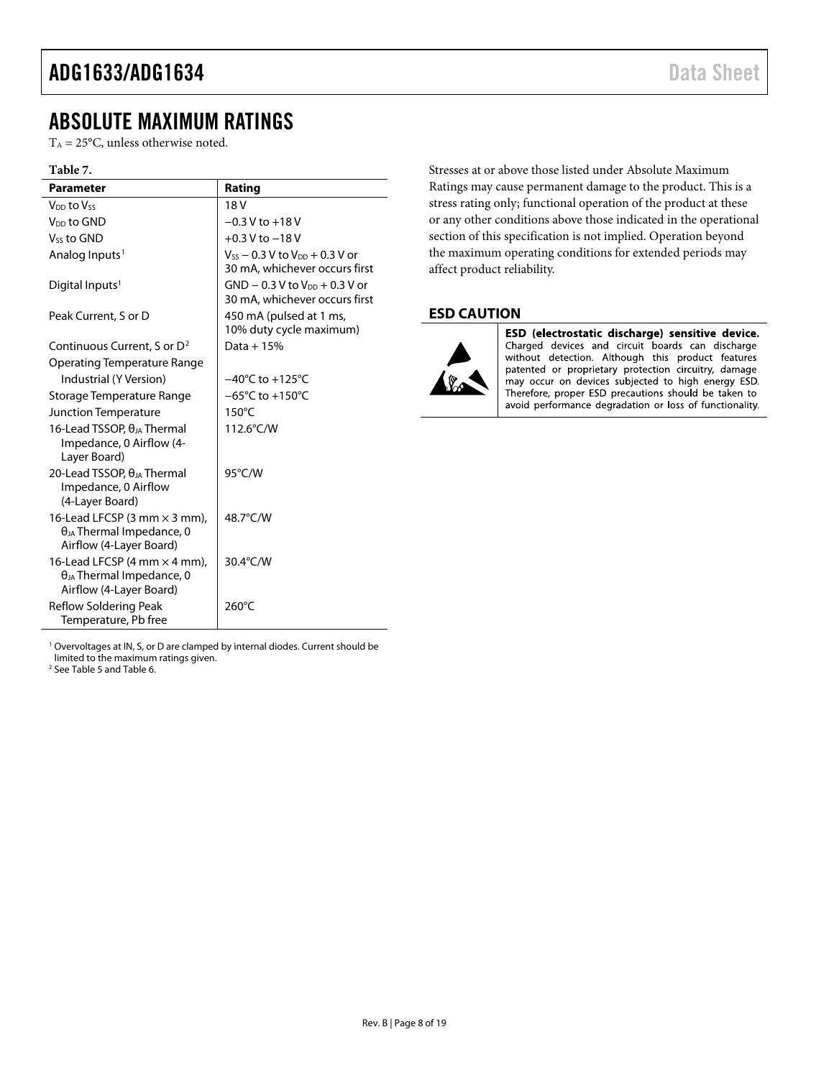### <span id="page-7-0"></span>ABSOLUTE MAXIMUM RATINGS

 $T_A = 25$ °C, unless otherwise noted.

#### **Table 7.**

| Parameter                                                                                                             | Rating                                                                   |
|-----------------------------------------------------------------------------------------------------------------------|--------------------------------------------------------------------------|
| V <sub>DD</sub> to Vss                                                                                                | 18 <sub>V</sub>                                                          |
| V <sub>DD</sub> to GND                                                                                                | $-0.3$ V to $+18$ V                                                      |
| V <sub>ss</sub> to GND                                                                                                | $+0.3$ V to $-18$ V                                                      |
| Analog Inputs <sup>1</sup>                                                                                            | $V_{SS}$ – 0.3 V to $V_{DD}$ + 0.3 V or<br>30 mA, whichever occurs first |
| Digital Inputs <sup>1</sup>                                                                                           | $GND - 0.3 V$ to $VDD + 0.3 V$ or<br>30 mA, whichever occurs first       |
| Peak Current, S or D                                                                                                  | 450 mA (pulsed at 1 ms,<br>10% duty cycle maximum)                       |
| Continuous Current, S or D <sup>2</sup>                                                                               | Data + $15%$                                                             |
| Operating Temperature Range                                                                                           |                                                                          |
| Industrial (Y Version)                                                                                                | $-40^{\circ}$ C to $+125^{\circ}$ C                                      |
| Storage Temperature Range                                                                                             | $-65^{\circ}$ C to $+150^{\circ}$ C                                      |
| Junction Temperature                                                                                                  | $150^{\circ}$ C                                                          |
| 16-Lead TSSOP, $\theta_{JA}$ Thermal<br>Impedance, 0 Airflow (4-<br>Layer Board)                                      | 112.6°C/W                                                                |
| 20-Lead TSSOP, $\theta_{JA}$ Thermal<br>Impedance, 0 Airflow<br>(4-Layer Board)                                       | 95°C/W                                                                   |
| 16-Lead LFCSP $(3 \text{ mm} \times 3 \text{ mm})$ ,<br>$\theta_{JA}$ Thermal Impedance, 0<br>Airflow (4-Layer Board) | 48.7°C/W                                                                 |
| 16-Lead LFCSP (4 mm $\times$ 4 mm),<br>$\theta_{JA}$ Thermal Impedance, 0<br>Airflow (4-Layer Board)                  | 30.4°C/W                                                                 |
| Reflow Soldering Peak<br>Temperature, Pb free                                                                         | 260°C                                                                    |

<sup>1</sup> Overvoltages at IN, S, or D are clamped by internal diodes. Current should be limited to the maximum ratings given.

<sup>2</sup> Se[e Table 5](#page-6-1) and [Table 6.](#page-6-2)

Stresses at or above those listed under Absolute Maximum Ratings may cause permanent damage to the product. This is a stress rating only; functional operation of the product at these or any other conditions above those indicated in the operational section of this specification is not implied. Operation beyond the maximum operating conditions for extended periods may affect product reliability.

#### <span id="page-7-1"></span>**ESD CAUTION**



ESD (electrostatic discharge) sensitive device. Charged devices and circuit boards can discharge without detection. Although this product features patented or proprietary protection circuitry, damage may occur on devices subjected to high energy ESD. Therefore, proper ESD precautions should be taken to avoid performance degradation or loss of functionality.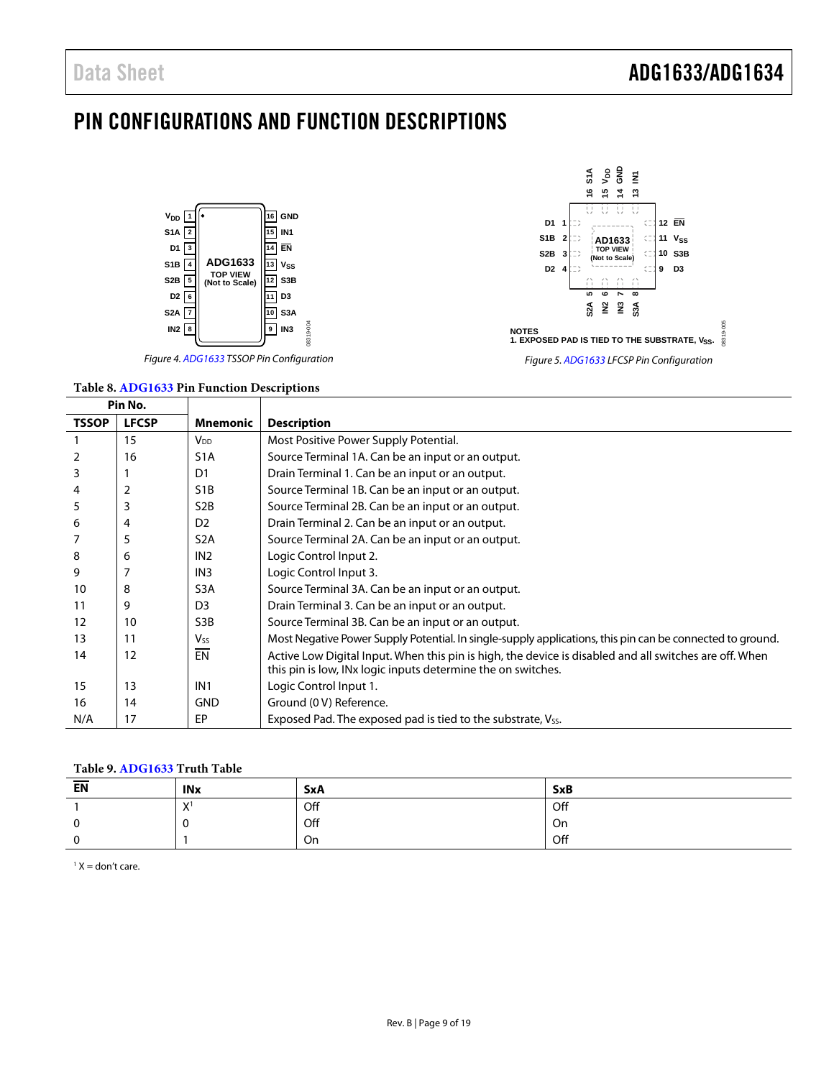### <span id="page-8-0"></span>PIN CONFIGURATIONS AND FUNCTION DESCRIPTIONS





#### **Table 8[. ADG1633](http://www.analog.com/ADG1633?doc=ADG1633_1634.pdf) Pin Function Descriptions**



|              | Pin No.      |                  |                                                                                                                                                                        |
|--------------|--------------|------------------|------------------------------------------------------------------------------------------------------------------------------------------------------------------------|
| <b>TSSOP</b> | <b>LFCSP</b> | Mnemonic         | <b>Description</b>                                                                                                                                                     |
|              | 15           | $V_{DD}$         | Most Positive Power Supply Potential.                                                                                                                                  |
|              | 16           | S <sub>1</sub> A | Source Terminal 1A. Can be an input or an output.                                                                                                                      |
| 3            |              | D1               | Drain Terminal 1. Can be an input or an output.                                                                                                                        |
| 4            | 2            | S <sub>1</sub> B | Source Terminal 1B. Can be an input or an output.                                                                                                                      |
| 5            | 3            | S <sub>2</sub> B | Source Terminal 2B. Can be an input or an output.                                                                                                                      |
| 6            | 4            | D <sub>2</sub>   | Drain Terminal 2. Can be an input or an output.                                                                                                                        |
|              | 5            | S <sub>2</sub> A | Source Terminal 2A. Can be an input or an output.                                                                                                                      |
| 8            | 6            | IN <sub>2</sub>  | Logic Control Input 2.                                                                                                                                                 |
| 9            |              | IN <sub>3</sub>  | Logic Control Input 3.                                                                                                                                                 |
| 10           | 8            | S <sub>3</sub> A | Source Terminal 3A. Can be an input or an output.                                                                                                                      |
| 11           | 9            | D <sub>3</sub>   | Drain Terminal 3. Can be an input or an output.                                                                                                                        |
| 12           | 10           | S3B              | Source Terminal 3B. Can be an input or an output.                                                                                                                      |
| 13           | 11           | <b>Vss</b>       | Most Negative Power Supply Potential. In single-supply applications, this pin can be connected to ground.                                                              |
| 14           | 12           | EN               | Active Low Digital Input. When this pin is high, the device is disabled and all switches are off. When<br>this pin is low, INx logic inputs determine the on switches. |
| 15           | 13           | IN <sub>1</sub>  | Logic Control Input 1.                                                                                                                                                 |
| 16           | 14           | <b>GND</b>       | Ground (0 V) Reference.                                                                                                                                                |
| N/A          | 17           | EP               | Exposed Pad. The exposed pad is tied to the substrate, Vss.                                                                                                            |

#### **Table 9[. ADG1633](http://www.analog.com/ADG1633?doc=ADG1633_1634.pdf) Truth Table**

| <b>EN</b>  | <b>INx</b>        | SxA           | <b>SxB</b> |
|------------|-------------------|---------------|------------|
|            | v<br>$\mathbf{v}$ | Off<br>$\sim$ | Off        |
|            | υ                 | Off           | On         |
| $\sqrt{2}$ |                   | On            | Off        |

 $<sup>1</sup> X = don't care.$ </sup>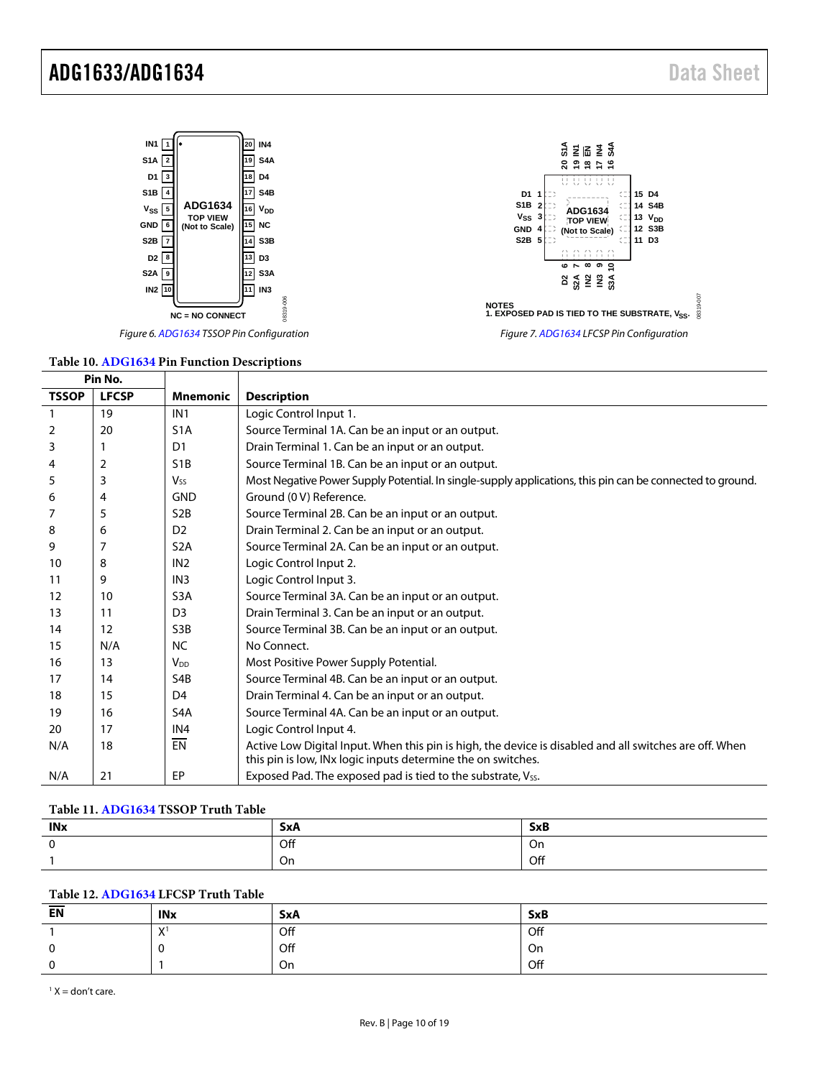

#### **Table 10[. ADG1634](http://www.analog.com/ADG1634?doc=ADG1633_1634.pdf) Pin Function Descriptions**

| Pin No.      |              |                       |                                                                                                                                                                        |
|--------------|--------------|-----------------------|------------------------------------------------------------------------------------------------------------------------------------------------------------------------|
| <b>TSSOP</b> | <b>LFCSP</b> | <b>Mnemonic</b>       | <b>Description</b>                                                                                                                                                     |
|              | 19           | IN <sub>1</sub>       | Logic Control Input 1.                                                                                                                                                 |
| 2            | 20           | S <sub>1</sub> A      | Source Terminal 1A. Can be an input or an output.                                                                                                                      |
| 3            |              | D1                    | Drain Terminal 1. Can be an input or an output.                                                                                                                        |
| 4            | 2            | S <sub>1</sub> B      | Source Terminal 1B. Can be an input or an output.                                                                                                                      |
| 5            | 3            | <b>V<sub>ss</sub></b> | Most Negative Power Supply Potential. In single-supply applications, this pin can be connected to ground.                                                              |
| 6            | 4            | <b>GND</b>            | Ground (0 V) Reference.                                                                                                                                                |
| 7            | 5            | S <sub>2</sub> B      | Source Terminal 2B. Can be an input or an output.                                                                                                                      |
| 8            | 6            | D <sub>2</sub>        | Drain Terminal 2. Can be an input or an output.                                                                                                                        |
| 9            | 7            | S <sub>2</sub> A      | Source Terminal 2A. Can be an input or an output.                                                                                                                      |
| 10           | 8            | IN <sub>2</sub>       | Logic Control Input 2.                                                                                                                                                 |
| 11           | 9            | IN <sub>3</sub>       | Logic Control Input 3.                                                                                                                                                 |
| 12           | 10           | S <sub>3</sub> A      | Source Terminal 3A. Can be an input or an output.                                                                                                                      |
| 13           | 11           | D <sub>3</sub>        | Drain Terminal 3. Can be an input or an output.                                                                                                                        |
| 14           | 12           | S <sub>3</sub> B      | Source Terminal 3B. Can be an input or an output.                                                                                                                      |
| 15           | N/A          | <b>NC</b>             | No Connect.                                                                                                                                                            |
| 16           | 13           | <b>V<sub>DD</sub></b> | Most Positive Power Supply Potential.                                                                                                                                  |
| 17           | 14           | S4B                   | Source Terminal 4B. Can be an input or an output.                                                                                                                      |
| 18           | 15           | D <sub>4</sub>        | Drain Terminal 4. Can be an input or an output.                                                                                                                        |
| 19           | 16           | S <sub>4</sub> A      | Source Terminal 4A. Can be an input or an output.                                                                                                                      |
| 20           | 17           | IN <sub>4</sub>       | Logic Control Input 4.                                                                                                                                                 |
| N/A          | 18           | EN                    | Active Low Digital Input. When this pin is high, the device is disabled and all switches are off. When<br>this pin is low, INx logic inputs determine the on switches. |
| N/A          | 21           | EP                    | Exposed Pad. The exposed pad is tied to the substrate, V <sub>SS</sub> .                                                                                               |

#### **Table 11[. ADG1634](http://www.analog.com/ADG1634?doc=ADG1633_1634.pdf) TSSOP Truth Table**

| <b>INx</b> | <b>SxA</b> | <b>SxB</b> |
|------------|------------|------------|
|            | Off        | On         |
|            | On         | Off        |

#### **Table 12[. ADG1634](http://www.analog.com/ADG1634?doc=ADG1633_1634.pdf) LFCSP Truth Table**

| EN      | <b>INx</b>                | <b>SxA</b> | <b>SxB</b> |
|---------|---------------------------|------------|------------|
|         | $\mathbf{v}$<br>$\lambda$ | Off        | Off        |
| c<br>ັບ |                           | Off        | On         |
| c       |                           | On         | Off        |

 $1 X =$  don't care.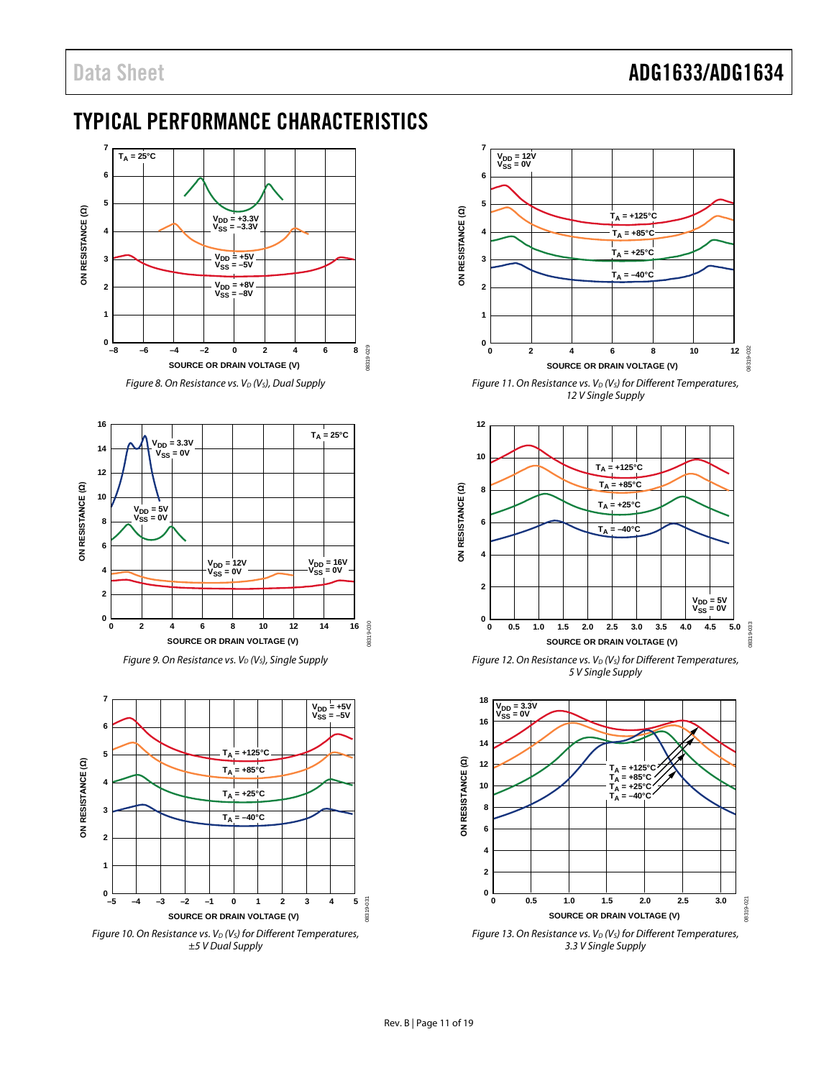### <span id="page-10-0"></span>TYPICAL PERFORMANCE CHARACTERISTICS













*Figure 11. On Resistance vs. V<sub>D</sub> (V<sub>S</sub>) for Different Temperatures, 12 V Single Supply*



*Figure 12. On Resistance vs. V<sub>D</sub> (V<sub>S</sub>) for Different Temperatures, 5 V Single Supply*



*Figure 13. On Resistance vs. V<sub>D</sub> (V<sub>S</sub>) for Different Temperatures, 3.3 V Single Supply*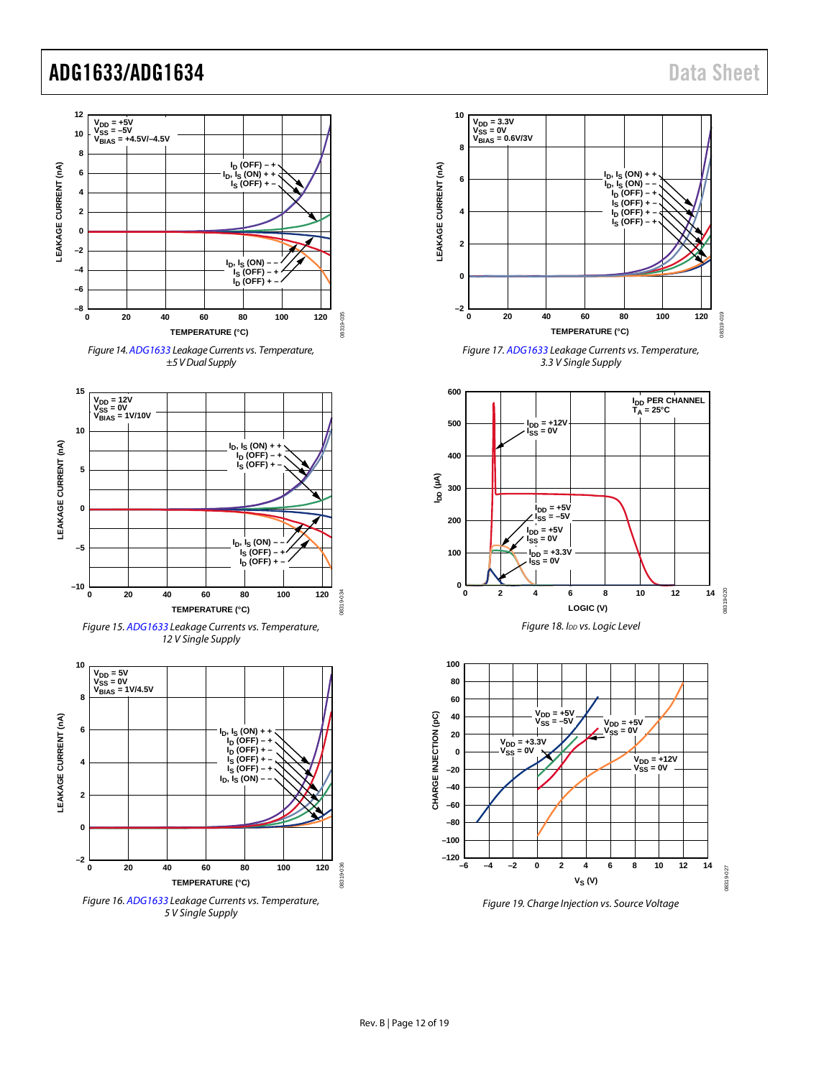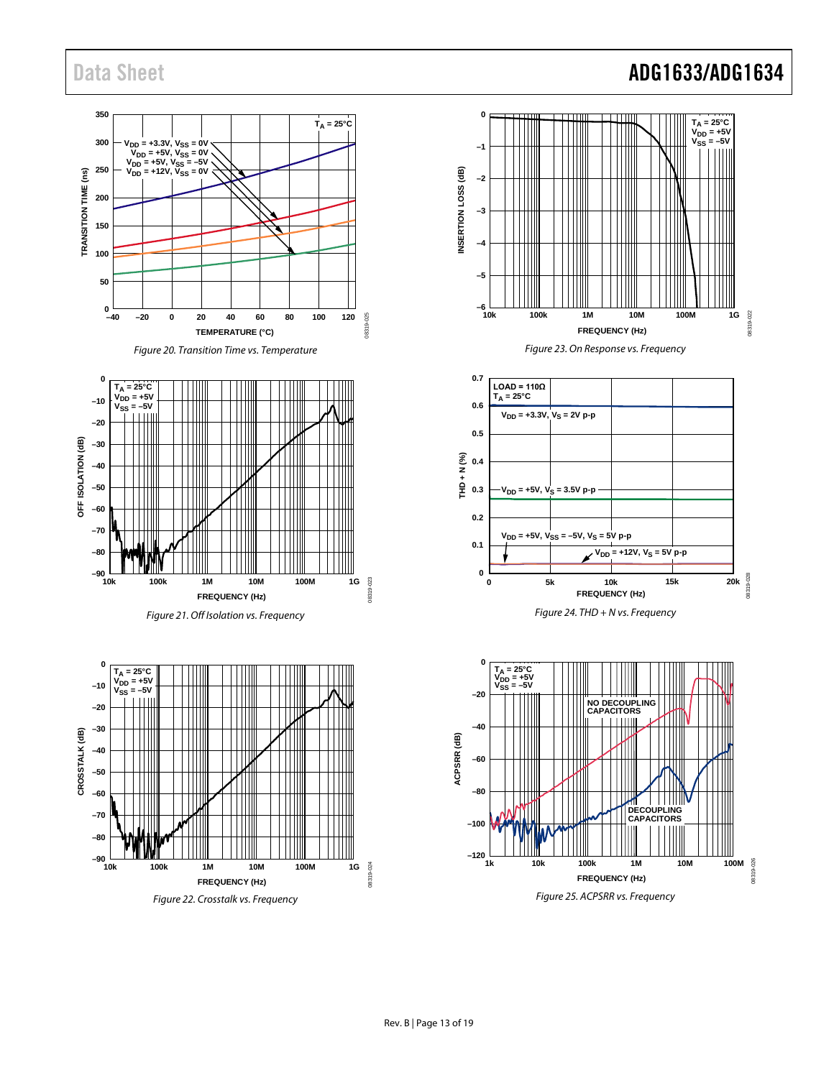#### **350**  $T_A = 25^{\circ}C$ **300 V**<sub>DD</sub> = +3.3V, **V**<sub>SS</sub> = 0V<br> **V**<sub>DD</sub> = +5V, **V**<sub>SS</sub> = 0V<br> **V**<sub>DD</sub> = +5V, **V**<sub>SS</sub> = -5V<br> **V**<sub>DD</sub> = +12V, **V**<sub>SS</sub> = 0V  $\widehat{\mathsf{e}}$ **250 TRANSITION TIME (ns)** TRANSITION TIME **200 150 100 50**  $_{-40}^{0}$ 08319-025 08319-025 **–40 –20 0 20 40 60 80 100 120 TEMPERATURE (°C)**





*Figure 21. Off Isolation vs. Frequency*



*Figure 22. Crosstalk vs. Frequency*

### Data Sheet **ADG1633/ADG1634**



*Figure 23. On Response vs. Frequency*



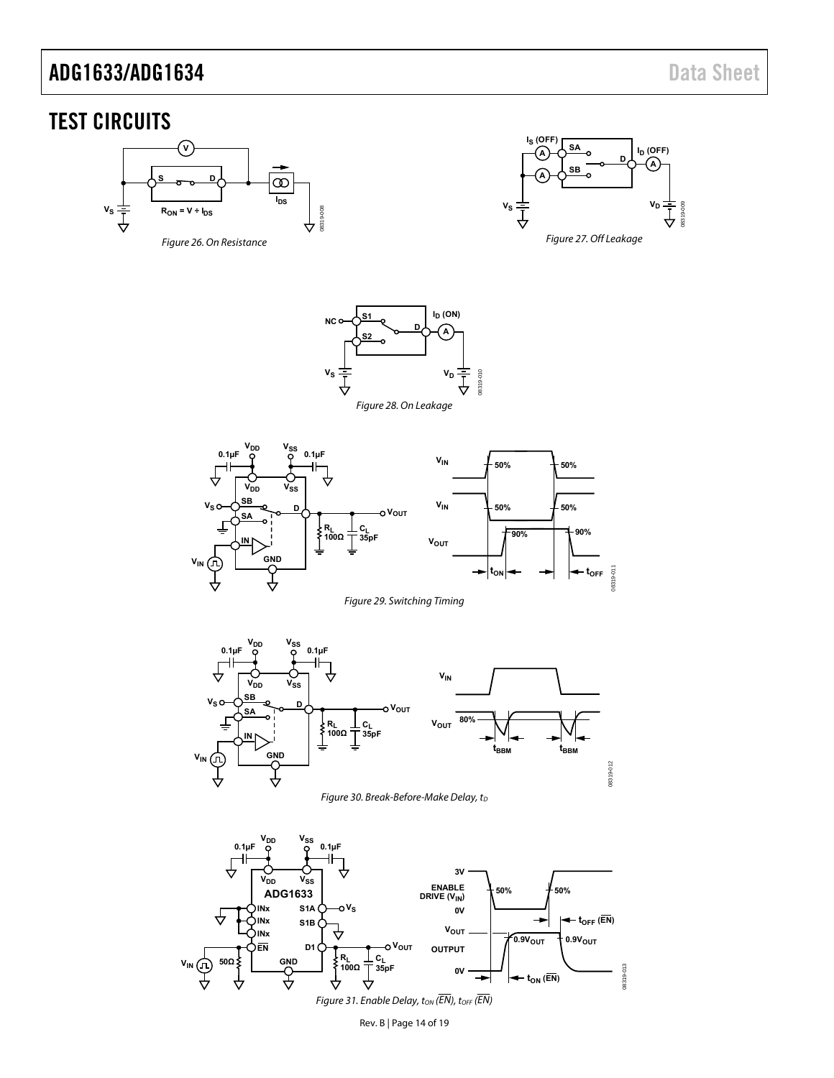### <span id="page-13-0"></span>TEST CIRCUITS

<span id="page-13-1"></span>



**S1 ID (ON) NC D s**2 **b**  $\rightarrow$   $\rightarrow$   $\rightarrow$   $\rightarrow$  $\mathbf{v}_\mathbf{S}$ 08319-010 **V<sub>D</sub>** 08319-010 Ţ Į Figure 28. On Leakage

<span id="page-13-2"></span>08319-008

<span id="page-13-3"></span>



<span id="page-13-4"></span>



<span id="page-13-6"></span><span id="page-13-5"></span>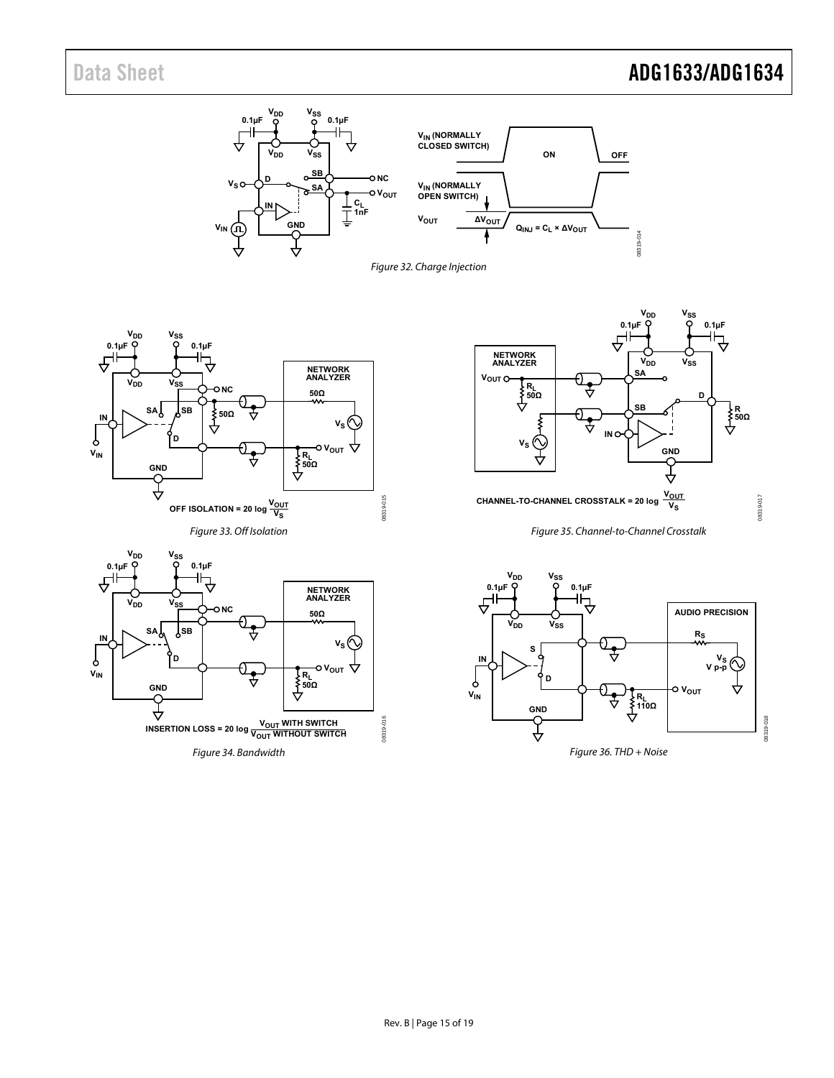# Data Sheet **ADG1633/ADG1634**

<span id="page-14-4"></span><span id="page-14-3"></span><span id="page-14-2"></span><span id="page-14-1"></span><span id="page-14-0"></span>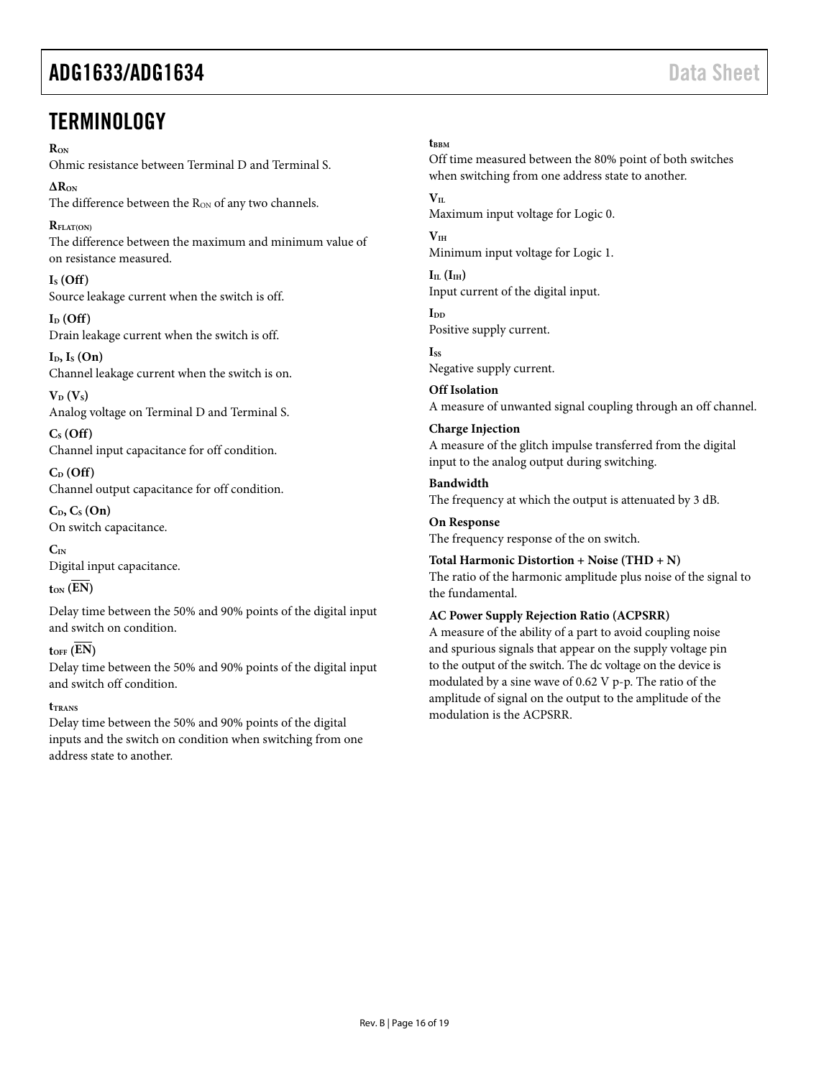### <span id="page-15-0"></span>**TERMINOLOGY**

#### **RON**

Ohmic resistance between Terminal D and Terminal S.

**∆RON** The difference between the R<sub>ON</sub> of any two channels.

 $R_{\text{FI AT}(\text{ON})}$ The difference between the maximum and minimum value of on resistance measured.

 $I<sub>S</sub>$  (Off) Source leakage current when the switch is off.

 $I_D$  (Off) Drain leakage current when the switch is off.

**ID, IS (On)** Channel leakage current when the switch is on.

 $V_D$   $(V_S)$ Analog voltage on Terminal D and Terminal S.

**CS (Off)** Channel input capacitance for off condition.

**CD (Off)** Channel output capacitance for off condition.

 $C_D$ ,  $C_S$  **(On)** On switch capacitance.

**CIN** Digital input capacitance.

#### $t_{ON}$   $(EN)$

Delay time between the 50% and 90% points of the digital input and switch on condition.

 $t_{\text{OFF}}$   $(\overline{EN})$ 

Delay time between the 50% and 90% points of the digital input and switch off condition.

#### **tTRANS**

Delay time between the 50% and 90% points of the digital inputs and the switch on condition when switching from one address state to another.

#### t<sub>BBM</sub>

Off time measured between the 80% point of both switches when switching from one address state to another.

#### $V_{II}$

Maximum input voltage for Logic 0.

 $V<sub>IH</sub>$ Minimum input voltage for Logic 1.

 $I_{IL}$   $(I_{IH})$ Input current of the digital input.

**IDD** Positive supply current.

**ISS** Negative supply current.

**Off Isolation** A measure of unwanted signal coupling through an off channel.

#### **Charge Injection**

the fundamental.

A measure of the glitch impulse transferred from the digital input to the analog output during switching.

#### **Bandwidth**

The frequency at which the output is attenuated by 3 dB.

**On Response** The frequency response of the on switch.

**Total Harmonic Distortion + Noise (THD + N)** The ratio of the harmonic amplitude plus noise of the signal to

#### **AC Power Supply Rejection Ratio (ACPSRR)**

A measure of the ability of a part to avoid coupling noise and spurious signals that appear on the supply voltage pin to the output of the switch. The dc voltage on the device is modulated by a sine wave of 0.62 V p-p. The ratio of the amplitude of signal on the output to the amplitude of the modulation is the ACPSRR.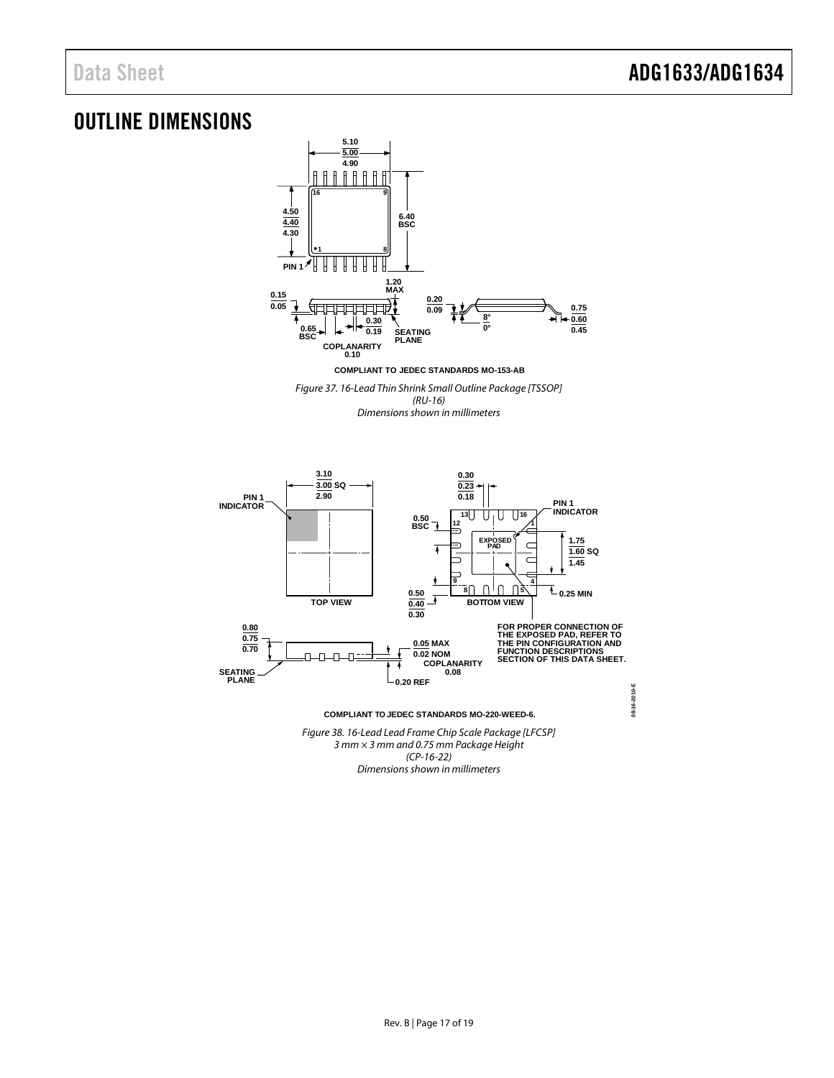### <span id="page-16-0"></span>OUTLINE DIMENSIONS



*Figure 37. 16-Lead Thin Shrink Small Outline Package [TSSOP] (RU-16)*

*Dimensions shown in millimeters*



**COMPLIANT TO JEDEC STANDARDS MO-220-WEED-6.**

*Figure 38. 16-Lead Lead Frame Chip Scale Package [LFCSP] 3 mm × 3 mm and 0.75 mm Package Height (CP-16-22) Dimensions shown in millimeters*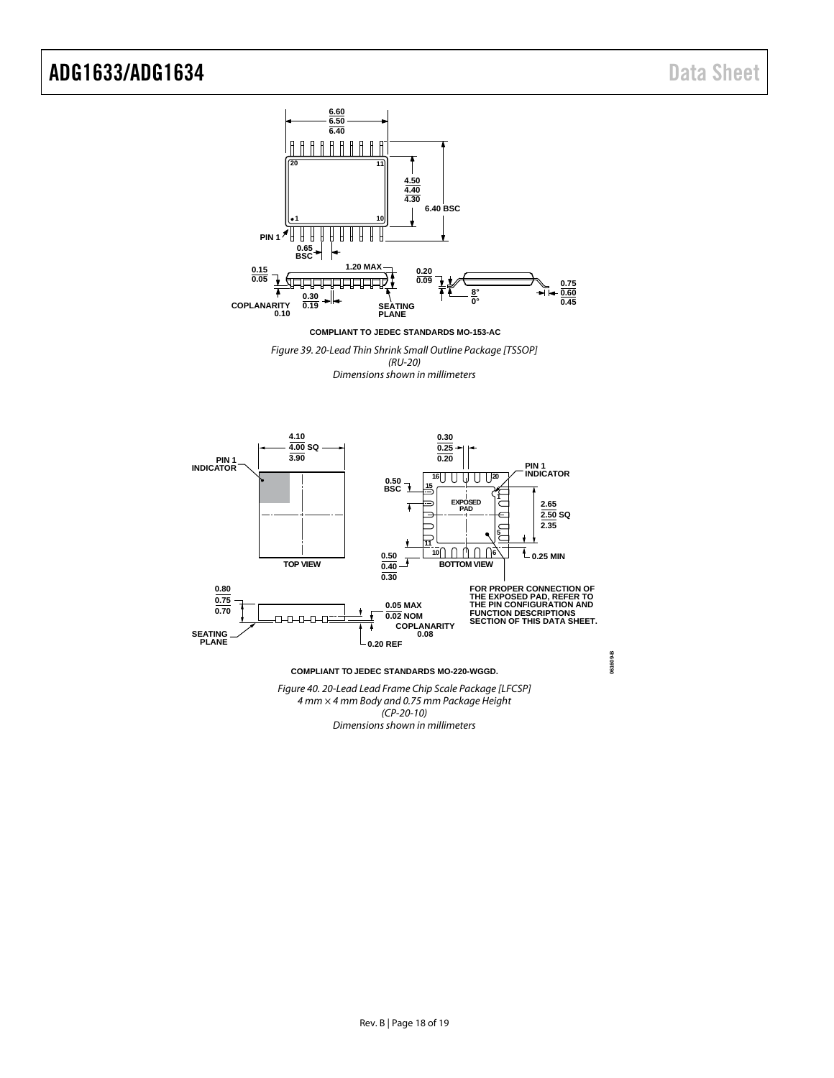

**COMPLIANT TO JEDEC STANDARDS MO-153-AC**

*Figure 39. 20-Lead Thin Shrink Small Outline Package [TSSOP] (RU-20) Dimensions shown in millimeters*



*Figure 40. 20-Lead Lead Frame Chip Scale Package [LFCSP] 4 mm × 4 mm Body and 0.75 mm Package Height (CP-20-10) Dimensions shown in millimeters*